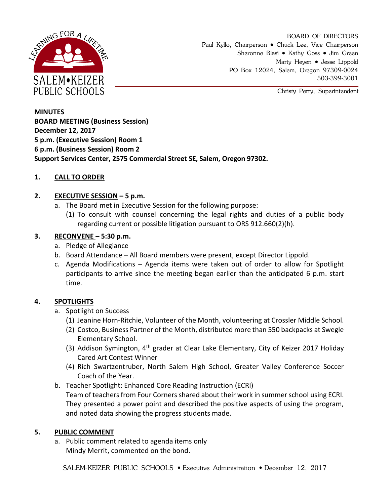

BOARD OF DIRECTORS Paul Kyllo, Chairperson • Chuck Lee, Vice Chairperson Sheronne Blasi • Kathy Goss • Jim Green Marty Heyen • Jesse Lippold PO Box 12024, Salem, Oregon 97309-0024 503-399-3001

Christy Perry, Superintendent

**MINUTES BOARD MEETING (Business Session) December 12, 2017 5 p.m. (Executive Session) Room 1 6 p.m. (Business Session) Room 2 Support Services Center, 2575 Commercial Street SE, Salem, Oregon 97302.**

## **1. CALL TO ORDER**

### **2. EXECUTIVE SESSION – 5 p.m.**

- a. The Board met in Executive Session for the following purpose:
	- (1) To consult with counsel concerning the legal rights and duties of a public body regarding current or possible litigation pursuant to ORS 912.660(2)(h).

## **3. RECONVENE – 5:30 p.m.**

- a. Pledge of Allegiance
- b. Board Attendance All Board members were present, except Director Lippold.
- c. Agenda Modifications Agenda items were taken out of order to allow for Spotlight participants to arrive since the meeting began earlier than the anticipated 6 p.m. start time.

# **4. SPOTLIGHTS**

- a. Spotlight on Success
	- (1) Jeanine Horn-Ritchie, Volunteer of the Month, volunteering at Crossler Middle School.
	- (2) Costco, Business Partner of the Month, distributed more than 550 backpacks at Swegle Elementary School.
	- (3) Addison Symington, 4<sup>th</sup> grader at Clear Lake Elementary, City of Keizer 2017 Holiday Cared Art Contest Winner
	- (4) Rich Swartzentruber, North Salem High School, Greater Valley Conference Soccer Coach of the Year.
- b. Teacher Spotlight: Enhanced Core Reading Instruction (ECRI) Team of teachers from Four Corners shared about their work in summer school using ECRI. They presented a power point and described the positive aspects of using the program, and noted data showing the progress students made.

### **5. PUBLIC COMMENT**

a. Public comment related to agenda items only Mindy Merrit, commented on the bond.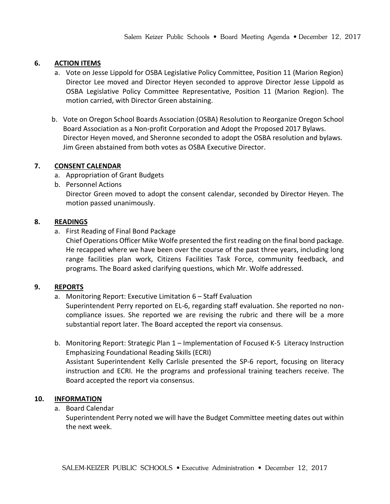### **6. ACTION ITEMS**

- a. Vote on Jesse Lippold for OSBA Legislative Policy Committee, Position 11 (Marion Region) Director Lee moved and Director Heyen seconded to approve Director Jesse Lippold as OSBA Legislative Policy Committee Representative, Position 11 (Marion Region). The motion carried, with Director Green abstaining.
- b. Vote on Oregon School Boards Association (OSBA) Resolution to Reorganize Oregon School Board Association as a Non-profit Corporation and Adopt the Proposed 2017 Bylaws. Director Heyen moved, and Sheronne seconded to adopt the OSBA resolution and bylaws. Jim Green abstained from both votes as OSBA Executive Director.

## **7. CONSENT CALENDAR**

- a. Appropriation of Grant Budgets
- b. Personnel Actions Director Green moved to adopt the consent calendar, seconded by Director Heyen. The motion passed unanimously.

## **8. READINGS**

a. First Reading of Final Bond Package

Chief Operations Officer Mike Wolfe presented the first reading on the final bond package. He recapped where we have been over the course of the past three years, including long range facilities plan work, Citizens Facilities Task Force, community feedback, and programs. The Board asked clarifying questions, which Mr. Wolfe addressed.

### **9. REPORTS**

a. Monitoring Report: Executive Limitation 6 – Staff Evaluation

Superintendent Perry reported on EL-6, regarding staff evaluation. She reported no noncompliance issues. She reported we are revising the rubric and there will be a more substantial report later. The Board accepted the report via consensus.

b. Monitoring Report: Strategic Plan 1 – Implementation of Focused K-5 Literacy Instruction Emphasizing Foundational Reading Skills (ECRI) Assistant Superintendent Kelly Carlisle presented the SP-6 report, focusing on literacy instruction and ECRI. He the programs and professional training teachers receive. The Board accepted the report via consensus.

## **10. INFORMATION**

a. Board Calendar

Superintendent Perry noted we will have the Budget Committee meeting dates out within the next week.